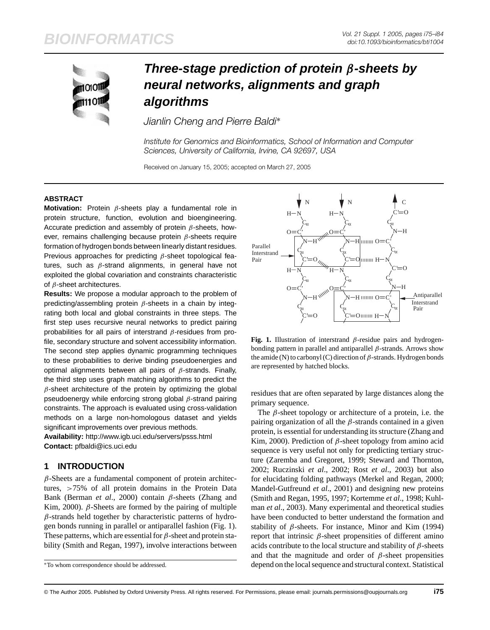# **BIOINFORMATICS** *Vol. 21 Suppl. 1 2005, pages i75–i84*

*doi:10.1093/bioinformatics/bti1004*



## **Three-stage prediction of protein** *β***-sheets by neural networks, alignments and graph algorithms**

*Jianlin Cheng and Pierre Baldi*∗

*Institute for Genomics and Bioinformatics, School of Information and Computer Sciences, University of California, Irvine, CA 92697, USA*

Received on January 15, 2005; accepted on March 27, 2005

#### **ABSTRACT**

**Motivation:** Protein *β*-sheets play a fundamental role in protein structure, function, evolution and bioengineering. Accurate prediction and assembly of protein *β*-sheets, however, remains challenging because protein *β*-sheets require formation of hydrogen bonds between linearly distant residues. Previous approaches for predicting *β*-sheet topological features, such as *β*-strand alignments, in general have not [exploited the global cova](http://www.igb.uci.edu/servers/psss.html)riation and constraints characteristic of *β*-sheet architectures.

**Results:** We propose a modular approach to the problem of predicting/assembling protein *β*-sheets in a chain by integrating both local and global constraints in three steps. The first step uses recursive neural networks to predict pairing probabilities for all pairs of interstrand *β*-residues from profile, secondary structure and solvent accessibility information. The second step applies dynamic programming techniques to these probabilities to derive binding pseudoenergies and optimal alignments between all pairs of *β*-strands. Finally, the third step uses graph matching algorithms to predict the *β*-sheet architecture of the protein by optimizing the global pseudoenergy while enforcing strong global *β*-strand pairing constraints. The approach is evaluated using cross-validation methods on a large non-homologous dataset and yields significant improvements over previous methods.

**Availability:** http://www.igb.uci.edu/servers/psss.html

**Contact:** pfbaldi@ics.uci.edu

### **1 INTRODUCTION**

*β*-Sheets are a fundamental component of protein architectures, *>*75% of all protein domains in the Protein Data Bank (Berman *et al*., 2000) contain *β*-sheets (Zhang and Kim, 2000). *β*-Sheets are formed by the pairing of multiple *β*-strands held together by characteristic patterns of hydrogen bonds running in parallel or antiparallel fashion (Fig. 1). These patterns, which are essential for *β*-sheet and protein stability (Smith and Regan, 1997), involve interactions between

∗To whom correspondence should be addressed.



**Fig. 1.** Illustration of interstrand *β*-residue pairs and hydrogenbonding pattern in parallel and antiparallel *β*-strands. Arrows show the amide (N) to carbonyl (C) direction of *β*-strands. Hydrogen bonds are represented by hatched blocks.

residues that are often separated by large distances along the primary sequence.

The *β*-sheet topology or architecture of a protein, i.e. the pairing organization of all the *β*-strands contained in a given protein, is essential for understanding its structure (Zhang and Kim, 2000). Prediction of *β*-sheet topology from amino acid sequence is very useful not only for predicting tertiary structure (Zaremba and Gregoret, 1999; Steward and Thornton, 2002; Ruczinski *et al*., 2002; Rost *et al*., 2003) but also for elucidating folding pathways (Merkel and Regan, 2000; Mandel-Gutfreund *et al*., 2001) and designing new proteins (Smith and Regan, 1995, 1997; Kortemme *et al*., 1998; Kuhlman *et al*., 2003). Many experimental and theoretical studies have been conducted to better understand the formation and stability of *β*-sheets. For instance, Minor and Kim (1994) report that intrinsic *β*-sheet propensities of different amino acids contribute to the local structure and stability of *β*-sheets and that the magnitude and order of  $\beta$ -sheet propensities depend on the local sequence and structural context. Statistical

© The Author 2005. Published by Oxford University Press. All rights reserved. For Permissions, please email: journals.permissions@oupjournals.org **i75**

"bti1004"  $-$  2005/6/10  $-$  page 75  $-$  #1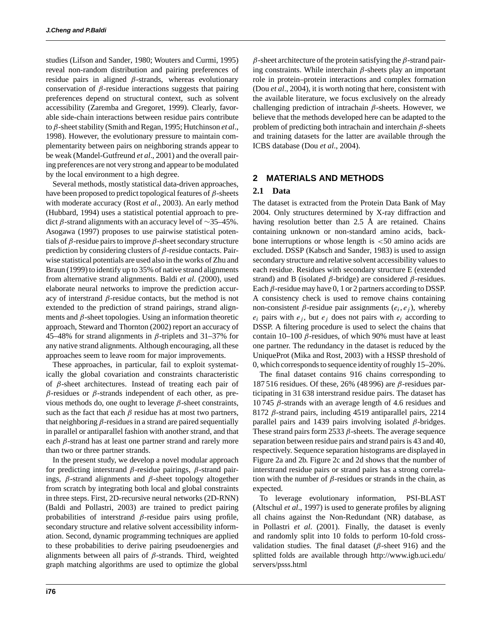#### **J.Cheng and P.Baldi**

studies (Lifson and Sander, 1980; Wouters and Curmi, 1995) reveal non-random distribution and pairing preferences of residue pairs in aligned *β*-strands, whereas evolutionary conservation of  $\beta$ -residue interactions suggests that pairing preferences depend on structural context, such as solvent accessibility (Zaremba and Gregoret, 1999). Clearly, favorable side-chain interactions between residue pairs contribute to *β*-sheet stability (Smith and Regan, 1995; Hutchinson *et al*., 1998). However, the evolutionary pressure to maintain complementarity between pairs on neighboring strands appear to be weak (Mandel-Gutfreund *et al*., 2001) and the overall pairing preferences are not very strong and appear to be modulated by the local environment to a high degree.

Several methods, mostly statistical data-driven approaches, have been proposed to predict topological features of *β*-sheets with moderate accuracy (Rost *et al*., 2003). An early method (Hubbard, 1994) uses a statistical potential approach to predict *β*-strand alignments with an accuracy level of ∼35–45%. Asogawa (1997) proposes to use pairwise statistical potentials of *β*-residue pairs to improve *β*-sheet secondary structure prediction by considering clusters of *β*-residue contacts. Pairwise statistical potentials are used also in the works of Zhu and Braun (1999) to identify up to 35% of native strand alignments from alternative strand alignments. Baldi *et al*. (2000), used elaborate neural networks to improve the prediction accuracy of interstrand *β*-residue contacts, but the method is not extended to the prediction of strand pairings, strand alignments and *β*-sheet topologies. Using an information theoretic approach, Steward and Thornton (2002) report an accuracy of 45–48% for strand alignments in *β*-triplets and 31–37% for any native strand alignments. Although encouraging, all these approaches seem to leave room for major improvements.

These approaches, in particular, fail to exploit systematically the global covariation and constraints characteristic of *β*-sheet architectures. Instead of treating each pair of *β*-residues or *β*-strands independent of each other, as previous methods do, one ought to leverage *β*-sheet constraints, such as the fact that each  $\beta$  residue has at most two partners, that neighboring *β*-residues in a strand are paired sequentially in parallel or antiparallel fashion with another strand, and that each *β*-strand has at least one partner strand and rarely more than two or three partner strands.

In the present study, we develop a novel modular approach for predicting interstrand *β*-residue pairings, *β*-strand pairings, *β*-strand alignments and *β*-sheet topology altogether from scratch by integrating both local and global constraints in three steps. First, 2D-recursive neural networks (2D-RNN) (Baldi and Pollastri, 2003) are trained to predict pairing probabilities of interstrand *β*-residue pairs using profile, secondary structure and relative solvent accessibility information. Second, dynamic programming techniques are applied to these probabilities to derive pairing pseudoenergies and alignments between all pairs of *β*-strands. Third, weighted

*β*-sheet architecture of the protein satisfying the *β*-strand pairing constraints. While interchain *β*-sheets play an important role in protein–protein interactions and complex formation (Dou *et al*., 2004), it is worth noting that here, consistent with the available literature, we focus exclusively on the already challenging prediction of intrachain *β*-sheets. However, we believe that the methods developed here can be adapted to the problem of predicting both intrachain and interchain *β*-sheets and training datasets for the latter are available through the ICBS database (Dou *et al*., 2004).

#### **2 MATERIALS AND METHODS**

#### **2.1 Data**

The dataset is extracted from the Protein Data Bank of May 2004. Only structures determined by X-ray diffraction and having resolution better than 2.5 Å are retained. Chains containing unknown or non-standard amino acids, backbone interruptions or whose length is *<*50 amino acids are excluded. DSSP (Kabsch and Sander, 1983) is used to assign secondary structure and relative solvent accessibility values to each residue. Residues with secondary structure E (extended strand) and B (isolated *β*-bridge) are considered *β*-residues. Each *β*-residue may have 0, 1 or 2 partners according to DSSP. A consistency check is used to remove chains containing non-consistent *β*-residue pair assignments  $(e_i, e_j)$ , whereby  $e_i$  pairs with  $e_j$ , but  $e_j$  does not pairs with  $e_i$  according to DSSP. A filtering procedure is used to select the chains that contain 10–100  $β$ -residues, of which 90% must have at least one partner. The redundancy in the dataset is reduced by the UniqueProt (Mika and Rost, 2003) with a HSSP threshold of 0, which corresponds to sequence identity of roughly 15–20%.

graph matching algorithms are used to optimize the global servers/psss.html

The final dataset contains 916 chains corresponding to 187 516 residues. Of these, 26% (48 996) are *β*-residues participatin[g in 31 638 interstrand re](http://www.igb.uci.edu/)sidue pairs. The dataset has 10 745 *β*-strands with an average length of 4.6 residues and 8172 *β*-strand pairs, including 4519 antiparallel pairs, 2214 parallel pairs and 1439 pairs involving isolated *β*-bridges. These strand pairs form 2533 *β*-sheets. The average sequence separation between residue pairs and strand pairs is 43 and 40, respectively. Sequence separation histograms are displayed in Figure 2a and 2b. Figure 2c and 2d shows that the number of interstrand residue pairs or strand pairs has a strong correlation with the number of  $\beta$ -residues or strands in the chain, as expected.

To leverage evolutionary information, PSI-BLAST (Altschul *et al*., 1997) is used to generate profiles by aligning all chains against the Non-Redundant (NR) database, as in Pollastri *et al*. (2001). Finally, the dataset is evenly and randomly split into 10 folds to perform 10-fold crossvalidation studies. The final dataset (*β*-sheet 916) and the splitted folds are available through http://www.igb.uci.edu/

**i76**

"bti1004" — 2005/6/10 — page 76 — #2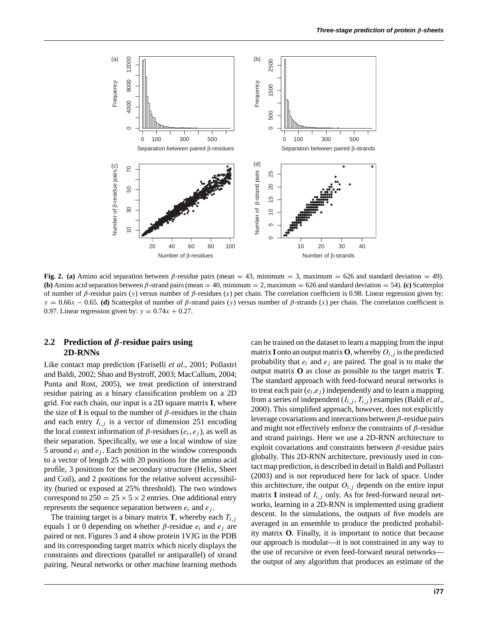

**Fig. 2. (a)** Amino acid separation between  $\beta$ -residue pairs (mean = 43, minimum = 3, maximum = 626 and standard deviation = 49). **(b)** Amino acid separation between *β*-strand pairs (mean = 40, minimum = 2, maximum = 626 and standard deviation = 54). **(c)** Scatterplot of number of *β*-residue pairs (*y*) versus number of *β*-residues (*x*) per chain. The correlation coefficient is 0.98. Linear regression given by:  $y = 0.66x - 0.65$ . **(d)** Scatterplot of number of *β*-strand pairs (*y*) versus number of *β*-strands (*x*) per chain. The correlation coefficient is 0.97. Linear regression given by:  $y = 0.74x + 0.27$ .

## **2.2 Prediction of** *β***-residue pairs using 2D-RNNs**

Like contact map prediction (Fariselli *et al*., 2001; Pollastri and Baldi, 2002; Shao and Bystroff, 2003; MacCallum, 2004; Punta and Rost, 2005), we treat prediction of interstrand residue pairing as a binary classification problem on a 2D grid. For each chain, our input is a 2D square matrix **I**, where the size of **I** is equal to the number of *β*-residues in the chain and each entry  $I_{i,j}$  is a vector of dimension 251 encoding the local context information of  $\beta$ -residues ( $e_i$ ,  $e_j$ ), as well as their separation. Specifically, we use a local window of size 5 around  $e_i$  and  $e_j$ . Each position in the window corresponds to a vector of length 25 with 20 positions for the amino acid profile, 3 positions for the secondary structure (Helix, Sheet and Coil), and 2 positions for the relative solvent accessibility (buried or exposed at 25% threshold). The two windows correspond to  $250 = 25 \times 5 \times 2$  entries. One additional entry represents the sequence separation between  $e_i$  and  $e_j$ .

The training target is a binary matrix **T**, whereby each  $T_{i,j}$ equals 1 or 0 depending on whether *β*-residue *ei* and *ej* are paired or not. Figures 3 and 4 show protein 1VJG in the PDB and its corresponding target matrix which nicely displays the constraints and directions (parallel or antiparallel) of strand pairing. Neural networks or other machine learning methods can be trained on the dataset to learn a mapping from the input matrix **I** onto an output matrix **O**, whereby  $O_{i,j}$  is the predicted probability that  $e_i$  and  $e_j$  are paired. The goal is to make the output matrix **O** as close as possible to the target matrix **T**. The standard approach with feed-forward neural networks is to treat each pair  $(e_i, e_j)$  independently and to learn a mapping from a series of independent  $(I_{i,j}, T_{i,j})$  examples (Baldi *et al.*, 2000). This simplified approach, however, does not explicitly leverage covariations and interactions between *β*-residue pairs and might not effectively enforce the constraints of *β*-residue and strand pairings. Here we use a 2D-RNN architecture to exploit covariations and constraints between *β*-residue pairs globally. This 2D-RNN architecture, previously used in contact map prediction, is described in detail in Baldi and Pollastri (2003) and is not reproduced here for lack of space. Under this architecture, the output  $O_{i,j}$  depends on the entire input matrix **I** instead of  $I_{i,j}$  only. As for feed-forward neural networks, learning in a 2D-RNN is implemented using gradient descent. In the simulations, the outputs of five models are averaged in an ensemble to produce the predicted probability matrix **O**. Finally, it is important to notice that because our approach is modular—it is not constrained in any way to the use of recursive or even feed-forward neural networks the output of any algorithm that produces an estimate of the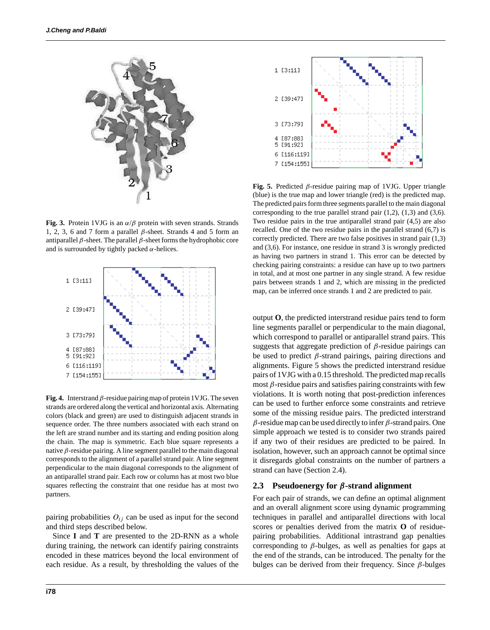

**Fig. 3.** Protein 1VJG is an  $\alpha/\beta$  protein with seven strands. Strands 1, 2, 3, 6 and 7 form a parallel *β*-sheet. Strands 4 and 5 form an antiparallel *β*-sheet. The parallel *β*-sheet forms the hydrophobic core and is surrounded by tightly packed  $\alpha$ -helices.



**Fig. 4.** Interstrand *β*-residue pairing map of protein 1VJG. The seven strands are ordered along the vertical and horizontal axis. Alternating colors (black and green) are used to distinguish adjacent strands in sequence order. The three numbers associated with each strand on the left are strand number and its starting and ending position along the chain. The map is symmetric. Each blue square represents a native  $β$ -residue pairing. A line segment parallel to the main diagonal corresponds to the alignment of a parallel strand pair. A line segment perpendicular to the main diagonal corresponds to the alignment of an antiparallel strand pair. Each row or column has at most two blue squares reflecting the constraint that one residue has at most two partners.

pairing probabilities  $O_{ij}$  can be used as input for the second and third steps described below.

Since **I** and **T** are presented to the 2D-RNN as a whole during training, the network can identify pairing constraints encoded in these matrices beyond the local environment of each residue. As a result, by thresholding the values of the



**Fig. 5.** Predicted *β*-residue pairing map of 1VJG. Upper triangle (blue) is the true map and lower triangle (red) is the predicted map. The predicted pairs form three segments parallel to the main diagonal corresponding to the true parallel strand pair  $(1,2)$ ,  $(1,3)$  and  $(3,6)$ . Two residue pairs in the true antiparallel strand pair (4,5) are also recalled. One of the two residue pairs in the parallel strand (6,7) is correctly predicted. There are two false positives in strand pair (1,3) and (3,6). For instance, one residue in strand 3 is wrongly predicted as having two partners in strand 1. This error can be detected by checking pairing constraints: a residue can have up to two partners in total, and at most one partner in any single strand. A few residue pairs between strands 1 and 2, which are missing in the predicted map, can be inferred once strands 1 and 2 are predicted to pair.

output **O**, the predicted interstrand residue pairs tend to form line segments parallel or perpendicular to the main diagonal, which correspond to parallel or antiparallel strand pairs. This suggests that aggregate prediction of *β*-residue pairings can be used to predict *β*-strand pairings, pairing directions and alignments. Figure 5 shows the predicted interstrand residue pairs of 1VJG with a 0.15 threshold. The predicted map recalls most *β*-residue pairs and satisfies pairing constraints with few violations. It is worth noting that post-prediction inferences can be used to further enforce some constraints and retrieve some of the missing residue pairs. The predicted interstrand *β*-residue map can be used directly to infer *β*-strand pairs. One simple approach we tested is to consider two strands paired if any two of their residues are predicted to be paired. In isolation, however, such an approach cannot be optimal since it disregards global constraints on the number of partners a strand can have (Section 2.4).

### **2.3 Pseudoenergy for** *β***-strand alignment**

For each pair of strands, we can define an optimal alignment and an overall alignment score using dynamic programming techniques in parallel and antiparallel directions with local scores or penalties derived from the matrix **O** of residuepairing probabilities. Additional intrastrand gap penalties corresponding to *β*-bulges, as well as penalties for gaps at the end of the strands, can be introduced. The penalty for the bulges can be derived from their frequency. Since *β*-bulges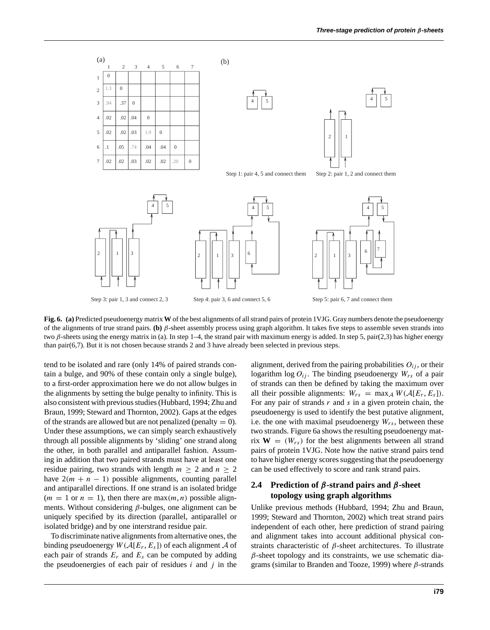

**Fig. 6. (a)** Predicted pseudoenergy matrix **W** of the best alignments of all strand pairs of protein 1VJG. Gray numbers denote the pseudoenergy of the alignments of true strand pairs. **(b)** *β*-sheet assembly process using graph algorithm. It takes five steps to assemble seven strands into two *β*-sheets using the energy matrix in (a). In step 1–4, the strand pair with maximum energy is added. In step 5, pair(2,3) has higher energy than pair(6,7). But it is not chosen because strands 2 and 3 have already been selected in previous steps.

tend to be isolated and rare (only 14% of paired strands contain a bulge, and 90% of these contain only a single bulge), to a first-order approximation here we do not allow bulges in the alignments by setting the bulge penalty to infinity. This is also consistent with previous studies (Hubbard, 1994; Zhu and Braun, 1999; Steward and Thornton, 2002). Gaps at the edges of the strands are allowed but are not penalized (penalty  $= 0$ ). Under these assumptions, we can simply search exhaustively through all possible alignments by 'sliding' one strand along the other, in both parallel and antiparallel fashion. Assuming in addition that two paired strands must have at least one residue pairing, two strands with length  $m \geq 2$  and  $n \geq 2$ have  $2(m + n - 1)$  possible alignments, counting parallel and antiparallel directions. If one strand is an isolated bridge  $(m = 1 \text{ or } n = 1)$ , then there are max $(m, n)$  possible alignments. Without considering *β*-bulges, one alignment can be uniquely specified by its direction (parallel, antiparallel or isolated bridge) and by one interstrand residue pair.

To discriminate native alignments from alternative ones, the binding pseudoenergy  $W(A[E_r, E_s])$  of each alignment A of each pair of strands  $E_r$  and  $E_s$  can be computed by adding the pseudoenergies of each pair of residues *i* and *j* in the

alignment, derived from the pairing probabilities  $O_{ij}$ , or their logarithm  $\log O_{ij}$ . The binding pseudoenergy  $W_{rs}$  of a pair of strands can then be defined by taking the maximum over all their possible alignments:  $W_{rs} = \max_{A} W(A[E_r, E_s])$ . For any pair of strands  $r$  and  $s$  in a given protein chain, the pseudoenergy is used to identify the best putative alignment, i.e. the one with maximal pseudoenergy  $W_{rs}$ , between these two strands. Figure 6a shows the resulting pseudoenergy matrix  $W = (W_{rs})$  for the best alignments between all strand pairs of protein 1VJG. Note how the native strand pairs tend to have higher energy scores suggesting that the pseudoenergy can be used effectively to score and rank strand pairs.

## **2.4 Prediction of** *β***-strand pairs and** *β***-sheet topology using graph algorithms**

Unlike previous methods (Hubbard, 1994; Zhu and Braun, 1999; Steward and Thornton, 2002) which treat strand pairs independent of each other, here prediction of strand pairing and alignment takes into account additional physical constraints characteristic of *β*-sheet architectures. To illustrate *β*-sheet topology and its constraints, we use schematic diagrams (similar to Branden and Tooze, 1999) where *β*-strands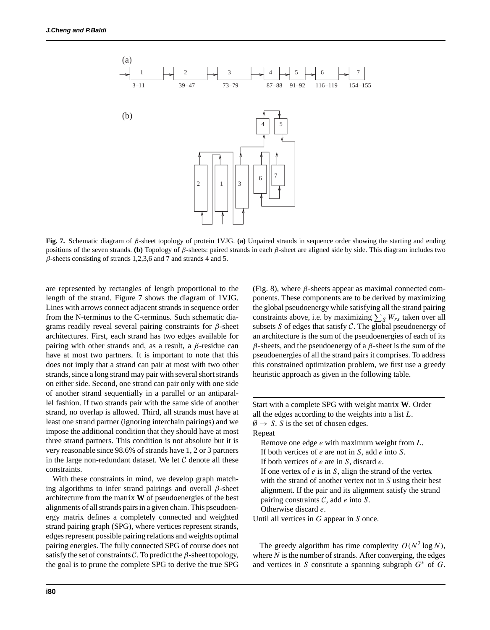

**Fig. 7.** Schematic diagram of *β*-sheet topology of protein 1VJG. **(a)** Unpaired strands in sequence order showing the starting and ending positions of the seven strands. **(b)** Topology of *β*-sheets: paired strands in each *β*-sheet are aligned side by side. This diagram includes two  $\beta$ -sheets consisting of strands 1,2,3,6 and 7 and strands 4 and 5.

are represented by rectangles of length proportional to the length of the strand. Figure 7 shows the diagram of 1VJG. Lines with arrows connect adjacent strands in sequence order from the N-terminus to the C-terminus. Such schematic diagrams readily reveal several pairing constraints for *β*-sheet architectures. First, each strand has two edges available for pairing with other strands and, as a result, a *β*-residue can have at most two partners. It is important to note that this does not imply that a strand can pair at most with two other strands, since a long strand may pair with several short strands on either side. Second, one strand can pair only with one side of another strand sequentially in a parallel or an antiparallel fashion. If two strands pair with the same side of another strand, no overlap is allowed. Third, all strands must have at least one strand partner (ignoring interchain pairings) and we impose the additional condition that they should have at most three strand partners. This condition is not absolute but it is very reasonable since 98.6% of strands have 1, 2 or 3 partners in the large non-redundant dataset. We let  $C$  denote all these constraints.

With these constraints in mind, we develop graph matching algorithms to infer strand pairings and overall *β*-sheet architecture from the matrix **W** of pseudoenergies of the best alignments of all strands pairs in a given chain. This pseudoenergy matrix defines a completely connected and weighted strand pairing graph (SPG), where vertices represent strands, edges represent possible pairing relations and weights optimal pairing energies. The fully connected SPG of course does not satisfy the set of constraints  $C$ . To predict the  $\beta$ -sheet topology, the goal is to prune the complete SPG to derive the true SPG (Fig. 8), where  $\beta$ -sheets appear as maximal connected components. These components are to be derived by maximizing the global pseudoenergy while satisfying all the strand pairing constraints above, i.e. by maximizing  $\sum_{S} W_{rs}$  taken over all subsets *S* of edges that satisfy C. The global pseudoenergy of an architecture is the sum of the pseudoenergies of each of its *β*-sheets, and the pseudoenergy of a *β*-sheet is the sum of the pseudoenergies of all the strand pairs it comprises. To address this constrained optimization problem, we first use a greedy heuristic approach as given in the following table.

Start with a complete SPG with weight matrix **W**. Order all the edges according to the weights into a list *L*.  $\emptyset \rightarrow S$ . *S* is the set of chosen edges. Repeat Remove one edge *e* with maximum weight from *L*. If both vertices of *e* are not in *S*, add *e* into *S*. If both vertices of *e* are in *S*, discard *e*. If one vertex of *e* is in *S*, align the strand of the vertex with the strand of another vertex not in *S* using their best alignment. If the pair and its alignment satisfy the strand pairing constraints C, add *e* into *S*. Otherwise discard *e*. Until all vertices in *G* appear in *S* once.

The greedy algorithm has time complexity  $O(N^2 \log N)$ , where *N* is the number of strands. After converging, the edges and vertices in *S* constitute a spanning subgraph *G*∗ of *G*.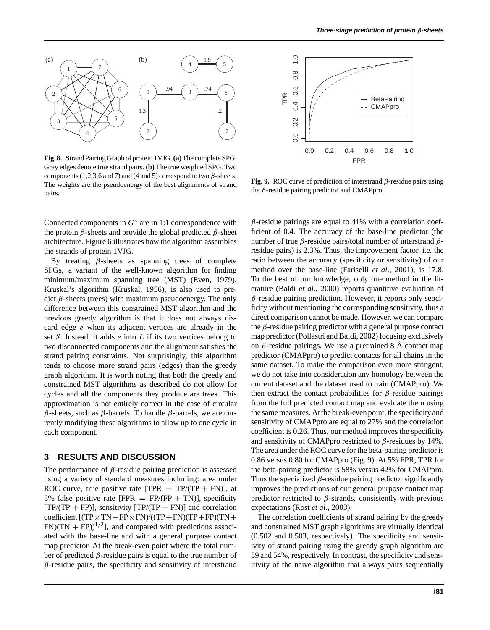

**Fig. 8.** Strand Pairing Graph of protein 1VJG.**(a)**The complete SPG. Gray edges denote true strand pairs. **(b)** The true weighted SPG. Two components (1,2,3,6 and 7) and (4 and 5) correspond to two  $\beta$ -sheets. The weights are the pseudoenergy of the best alignments of strand pairs.

Connected components in *G*∗ are in 1:1 correspondence with the protein *β*-sheets and provide the global predicted *β*-sheet architecture. Figure 6 illustrates how the algorithm assembles the strands of protein 1VJG.

By treating *β*-sheets as spanning trees of complete SPGs, a variant of the well-known algorithm for finding minimum/maximum spanning tree (MST) (Even, 1979), Kruskal's algorithm (Kruskal, 1956), is also used to predict *β*-sheets (trees) with maximum pseudoenergy. The only difference between this constrained MST algorithm and the previous greedy algorithm is that it does not always discard edge *e* when its adjacent vertices are already in the set *S*. Instead, it adds *e* into *L* if its two vertices belong to two disconnected components and the alignment satisfies the strand pairing constraints. Not surprisingly, this algorithm tends to choose more strand pairs (edges) than the greedy graph algorithm. It is worth noting that both the greedy and constrained MST algorithms as described do not allow for cycles and all the components they produce are trees. This approximation is not entirely correct in the case of circular *β*-sheets, such as *β*-barrels. To handle *β*-barrels, we are currently modifying these algorithms to allow up to one cycle in each component.

### **3 RESULTS AND DISCUSSION**

The performance of *β*-residue pairing prediction is assessed using a variety of standard measures including: area under ROC curve, true positive rate  $[TPR = TP/(TP + FN)]$ , at 5% false positive rate  $[FPR = FP/(FP + TN)]$ , specificity  $[TP/(TP + FP)]$ , sensitivity  $[TP/(TP + FN)]$  and correlation coefficient  $[(TP \times TN - FP \times FN)/((TP + FN)(TP + FP)(TN +$  $FN$ )(TN + FP))<sup>1/2</sup>], and compared with predictions associated with the base-line and with a general purpose contact map predictor. At the break-even point where the total number of predicted *β*-residue pairs is equal to the true number of *β*-residue pairs, the specificity and sensitivity of interstrand



**Fig. 9.** ROC curve of prediction of interstrand *β*-residue pairs using the *β*-residue pairing predictor and CMAPpro.

*β*-residue pairings are equal to 41% with a correlation coefficient of 0.4. The accuracy of the base-line predictor (the number of true *β*-residue pairs/total number of interstrand *β*residue pairs) is 2.3%. Thus, the improvement factor, i.e. the ratio between the accuracy (specificity or sensitivity) of our method over the base-line (Fariselli *et al*., 2001), is 17.8. To the best of our knowledge, only one method in the literature (Baldi *et al*., 2000) reports quantitive evaluation of *β*-residue pairing prediction. However, it reports only sepcificity without mentioning the corresponding sensitivity, thus a direct comparison cannot be made. However, we can compare the *β*-residue pairing predictor with a general purpose contact map predictor (Pollastri and Baldi, 2002) focusing exclusively on *β*-residue pairings. We use a pretrained 8 Å contact map predictor (CMAPpro) to predict contacts for all chains in the same dataset. To make the comparison even more stringent, we do not take into consideration any homology between the current dataset and the dataset used to train (CMAPpro). We then extract the contact probabilities for *β*-residue pairings from the full predicted contact map and evaluate them using the same measures. At the break-even point, the specificity and sensitivity of CMAPpro are equal to 27% and the correlation coefficient is 0.26. Thus, our method improves the specificity and sensitivity of CMAPpro restricted to *β*-residues by 14%. The area under the ROC curve for the beta-pairing predictor is 0.86 versus 0.80 for CMAPpro (Fig. 9). At 5% FPR, TPR for the beta-pairing predictor is 58% versus 42% for CMAPpro. Thus the specialized *β*-residue pairing predictor significantly improves the predictions of our general purpose contact map predictor restricted to *β*-strands, consistently with previous expectations (Rost *et al*., 2003).

The correlation coefficients of strand pairing by the greedy and constrained MST graph algorithms are virtually identical (0.502 and 0.503, respectively). The specificity and sensitivity of strand pairing using the greedy graph algorithm are 59 and 54%, respectively. In contrast, the specificity and sensitivity of the naive algorithm that always pairs sequentially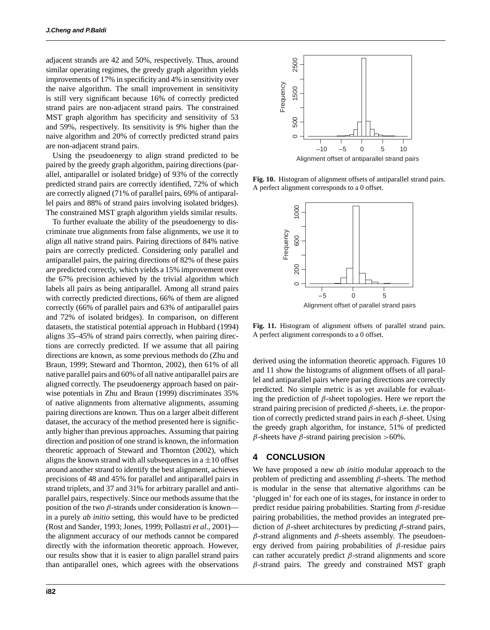adjacent strands are 42 and 50%, respectively. Thus, around similar operating regimes, the greedy graph algorithm yields improvements of 17% in specificity and 4% in sensitivity over the naive algorithm. The small improvement in sensitivity is still very significant because 16% of correctly predicted strand pairs are non-adjacent strand pairs. The constrained MST graph algorithm has specificity and sensitivity of 53 and 59%, respectively. Its sensitivity is 9% higher than the naive algorithm and 20% of correctly predicted strand pairs are non-adjacent strand pairs.

Using the pseudoenergy to align strand predicted to be paired by the greedy graph algorithm, pairing directions (parallel, antiparallel or isolated bridge) of 93% of the correctly predicted strand pairs are correctly identified, 72% of which are correctly aligned (71% of parallel pairs, 69% of antiparallel pairs and 88% of strand pairs involving isolated bridges). The constrained MST graph algorithm yields similar results.

To further evaluate the ability of the pseudoenergy to discriminate true alignments from false alignments, we use it to align all native strand pairs. Pairing directions of 84% native pairs are correctly predicted. Considering only parallel and antiparallel pairs, the pairing directions of 82% of these pairs are predicted correctly, which yields a 15% improvement over the 67% precision achieved by the trivial algorithm which labels all pairs as being antiparallel. Among all strand pairs with correctly predicted directions, 66% of them are aligned correctly (66% of parallel pairs and 63% of antiparallel pairs and 72% of isolated bridges). In comparison, on different datasets, the statistical potential approach in Hubbard (1994) aligns 35–45% of strand pairs correctly, when pairing directions are correctly predicted. If we assume that all pairing directions are known, as some previous methods do (Zhu and Braun, 1999; Steward and Thornton, 2002), then 61% of all native parallel pairs and 60% of all native antiparallel pairs are aligned correctly. The pseudoenergy approach based on pairwise potentials in Zhu and Braun (1999) discriminates 35% of native alignments from alternative alignments, assuming pairing directions are known. Thus on a larger albeit different dataset, the accuracy of the method presented here is significantly higher than previous approaches. Assuming that pairing direction and position of one strand is known, the information theoretic approach of Steward and Thornton (2002), which aligns the known strand with all subsequences in a  $\pm 10$  offset around another strand to identify the best alignment, achieves precisions of 48 and 45% for parallel and antiparallel pairs in strand triplets, and 37 and 31% for arbitrary parallel and antiparallel pairs, respectively. Since our methods assume that the position of the two  $\beta$ -strands under consideration is known in a purely *ab initio* setting, this would have to be predicted (Rost and Sander, 1993; Jones, 1999; Pollastri *et al*., 2001) the alignment accuracy of our methods cannot be compared directly with the information theoretic approach. However, our results show that it is easier to align parallel strand pairs than antiparallel ones, which agrees with the observations



**Fig. 10.** Histogram of alignment offsets of antiparallel strand pairs. A perfect alignment corresponds to a 0 offset.



**Fig. 11.** Histogram of alignment offsets of parallel strand pairs. A perfect alignment corresponds to a 0 offset.

derived using the information theoretic approach. Figures 10 and 11 show the histograms of alignment offsets of all parallel and antiparallel pairs where paring directions are correctly predicted. No simple metric is as yet available for evaluating the prediction of *β*-sheet topologies. Here we report the strand pairing precision of predicted *β*-sheets, i.e. the proportion of correctly predicted strand pairs in each *β*-sheet. Using the greedy graph algorithm, for instance, 51% of predicted *β*-sheets have *β*-strand pairing precision *>*60%.

#### **4 CONCLUSION**

We have proposed a new *ab initio* modular approach to the problem of predicting and assembling *β*-sheets. The method is modular in the sense that alternative algorithms can be 'plugged in' for each one of its stages, for instance in order to predict residue pairing probabilities. Starting from *β*-residue pairing probabilities, the method provides an integrated prediction of *β*-sheet architectures by predicting *β*-strand pairs, *β*-strand alignments and *β*-sheets assembly. The pseudoenergy derived from pairing probabilities of *β*-residue pairs can rather accurately predict *β*-strand alignments and score *β*-strand pairs. The greedy and constrained MST graph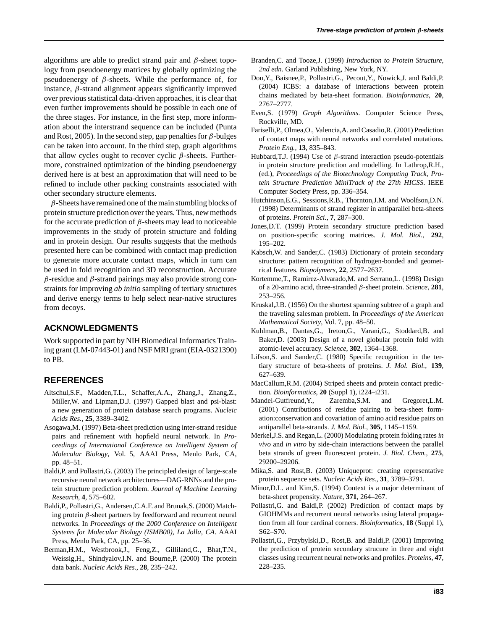algorithms are able to predict strand pair and *β*-sheet topology from pseudoenergy matrices by globally optimizing the pseudoenergy of *β*-sheets. While the performance of, for instance,  $\beta$ -strand alignment appears significantly improved over previous statistical data-driven approaches, it is clear that even further improvements should be possible in each one of the three stages. For instance, in the first step, more information about the interstrand sequence can be included (Punta and Rost, 2005). In the second step, gap penalties for *β*-bulges can be taken into account. In the third step, graph algorithms that allow cycles ought to recover cyclic *β*-sheets. Furthermore, constrained optimization of the binding pseudoenergy derived here is at best an approximation that will need to be refined to include other packing constraints associated with other secondary structure elements.

*β*-Sheets have remained one of the main stumbling blocks of protein structure prediction over the years. Thus, new methods for the accurate prediction of *β*-sheets may lead to noticeable improvements in the study of protein structure and folding and in protein design. Our results suggests that the methods presented here can be combined with contact map prediction to generate more accurate contact maps, which in turn can be used in fold recognition and 3D reconstruction. Accurate *β*-residue and *β*-strand pairings may also provide strong constraints for improving *ab initio* sampling of tertiary structures and derive energy terms to help select near-native structures from decoys.

## **ACKNOWLEDGMENTS**

Work supported in part by NIH Biomedical Informatics Training grant (LM-07443-01) and NSF MRI grant (EIA-0321390) to PB.

## **REFERENCES**

- Altschul,S.F., Madden,T.L., Schaffer,A.A., Zhang,J., Zhang,Z., Miller,W. and Lipman,D.J. (1997) Gapped blast and psi-blast: a new generation of protein database search programs. *Nucleic Acids Res.*, **25**, 3389–3402.
- Asogawa,M. (1997) Beta-sheet prediction using inter-strand residue pairs and refinement with hopfield neural network. In *Proceedings of International Conference on Intelligent System of Molecular Biology*, Vol. 5, AAAI Press, Menlo Park, CA, pp. 48–51.
- Baldi,P. and Pollastri,G. (2003) The principled design of large-scale recursive neural network architectures—DAG-RNNs and the protein structure prediction problem. *Journal of Machine Learning Research*, **4**, 575–602.
- Baldi,P., Pollastri,G., Andersen,C.A.F. and Brunak,S. (2000) Matching protein *β*-sheet partners by feedforward and recurrent neural networks. In *Proceedings of the 2000 Conference on Intelligent Systems for Molecular Biology (ISMB00), La Jolla, CA*. AAAI Press, Menlo Park, CA, pp. 25–36.
- Berman,H.M., Westbrook,J., Feng,Z., Gilliland,G., Bhat,T.N., Weissig,H., Shindyalov,I.N. and Bourne,P. (2000) The protein data bank. *Nucleic Acids Res.*, **28**, 235–242.
- Branden,C. and Tooze,J. (1999) *Introduction to Protein Structure, 2nd edn.* Garland Publishing, New York, NY.
- Dou,Y., Baisnee,P., Pollastri,G., Pecout,Y., Nowick,J. and Baldi,P. (2004) ICBS: a database of interactions between protein chains mediated by beta-sheet formation. *Bioinformatics*, **20**, 2767–2777.
- Even,S. (1979) *Graph Algorithms*. Computer Science Press, Rockville, MD.
- Fariselli,P., Olmea,O., Valencia,A. and Casadio,R. (2001) Prediction of contact maps with neural networks and correlated mutations. *Protein Eng.*, **13**, 835–843.
- Hubbard,T.J. (1994) Use of *β*-strand interaction pseudo-potentials in protein structure prediction and modelling. In Lathrop,R.H., (ed.), *Proceedings of the Biotechnology Computing Track, Protein Structure Prediction MiniTrack of the 27th HICSS*. IEEE Computer Society Press, pp. 336–354.
- Hutchinson,E.G., Sessions,R.B., Thornton,J.M. and Woolfson,D.N. (1998) Determinants of strand register in antiparallel beta-sheets of proteins. *Protein Sci.*, **7**, 287–300.
- Jones,D.T. (1999) Protein secondary structure prediction based on position-specific scoring matrices. *J. Mol. Biol.*, **292**, 195–202.
- Kabsch,W. and Sander,C. (1983) Dictionary of protein secondary structure: pattern recognition of hydrogen-bonded and geometrical features. *Biopolymers*, **22**, 2577–2637.
- Kortemme,T., Ramirez-Alvarado,M. and Serrano,L. (1998) Design of a 20-amino acid, three-stranded *β*-sheet protein. *Science*, **281**, 253–256.
- Kruskal,J.B. (1956) On the shortest spanning subtree of a graph and the traveling salesman problem. In *Proceedings of the American Mathematical Society*, Vol. 7, pp. 48–50.
- Kuhlman,B., Dantas,G., Ireton,G., Varani,G., Stoddard,B. and Baker,D. (2003) Design of a novel globular protein fold with atomic-level accuracy. *Science*, **302**, 1364–1368.
- Lifson,S. and Sander,C. (1980) Specific recognition in the tertiary structure of beta-sheets of proteins. *J. Mol. Biol.*, **139**, 627–639.
- MacCallum,R.M. (2004) Striped sheets and protein contact prediction. *Bioinformatics*, **20** (Suppl 1), i224–i231.
- Mandel-Gutfreund,Y., Zaremba,S.M. and Gregoret,L.M. (2001) Contributions of residue pairing to beta-sheet formation:conservation and covariation of amino acid residue pairs on antiparallel beta-strands. *J. Mol. Biol.*, **305**, 1145–1159.
- Merkel,J.S. and Regan,L. (2000) Modulating protein folding rates *in vivo* and *in vitro* by side-chain interactions between the parallel beta strands of green fluorescent protein. *J. Biol. Chem.*, **275**, 29200–29206.
- Mika,S. and Rost,B. (2003) Uniqueprot: creating representative protein sequence sets. *Nucleic Acids Res.*, **31**, 3789–3791.
- Minor,D.L. and Kim,S. (1994) Context is a major determinant of beta-sheet propensity. *Nature*, **371**, 264–267.
- Pollastri,G. and Baldi,P. (2002) Prediction of contact maps by GIOHMMs and recurrent neural networks using lateral propagation from all four cardinal corners. *Bioinformatics*, **18** (Suppl 1), S62–S70.
- Pollastri,G., Przybylski,D., Rost,B. and Baldi,P. (2001) Improving the prediction of protein secondary strucure in three and eight classes using recurrent neural networks and profiles. *Proteins*, **47**, 228–235.